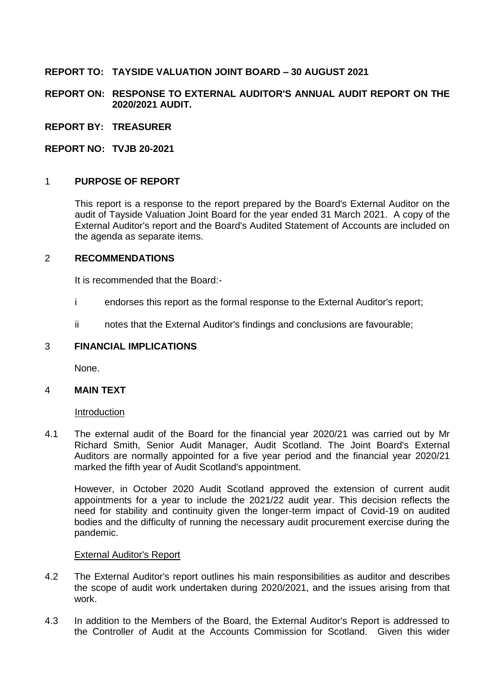# **REPORT TO: TAYSIDE VALUATION JOINT BOARD – 30 AUGUST 2021**

**REPORT ON: RESPONSE TO EXTERNAL AUDITOR'S ANNUAL AUDIT REPORT ON THE 2020/2021 AUDIT.**

**REPORT BY: TREASURER**

**REPORT NO: TVJB 20-2021**

### 1 **PURPOSE OF REPORT**

This report is a response to the report prepared by the Board's External Auditor on the audit of Tayside Valuation Joint Board for the year ended 31 March 2021. A copy of the External Auditor's report and the Board's Audited Statement of Accounts are included on the agenda as separate items.

#### 2 **RECOMMENDATIONS**

It is recommended that the Board:-

- i endorses this report as the formal response to the External Auditor's report;
- ii notes that the External Auditor's findings and conclusions are favourable;

### 3 **FINANCIAL IMPLICATIONS**

None.

#### 4 **MAIN TEXT**

#### Introduction

4.1 The external audit of the Board for the financial year 2020/21 was carried out by Mr Richard Smith, Senior Audit Manager, Audit Scotland. The Joint Board's External Auditors are normally appointed for a five year period and the financial year 2020/21 marked the fifth year of Audit Scotland's appointment.

However, in October 2020 Audit Scotland approved the extension of current audit appointments for a year to include the 2021/22 audit year. This decision reflects the need for stability and continuity given the longer-term impact of Covid-19 on audited bodies and the difficulty of running the necessary audit procurement exercise during the pandemic.

#### External Auditor's Report

- 4.2 The External Auditor's report outlines his main responsibilities as auditor and describes the scope of audit work undertaken during 2020/2021, and the issues arising from that work.
- 4.3 In addition to the Members of the Board, the External Auditor's Report is addressed to the Controller of Audit at the Accounts Commission for Scotland. Given this wider